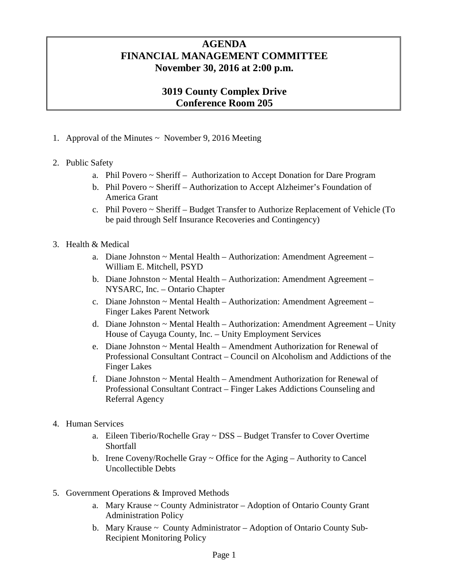## **AGENDA FINANCIAL MANAGEMENT COMMITTEE November 30, 2016 at 2:00 p.m.**

## **3019 County Complex Drive Conference Room 205**

- 1. Approval of the Minutes  $\sim$  November 9, 2016 Meeting
- 2. Public Safety
	- a. Phil Povero ~ Sheriff Authorization to Accept Donation for Dare Program
	- b. Phil Povero ~ Sheriff Authorization to Accept Alzheimer's Foundation of America Grant
	- c. Phil Povero ~ Sheriff Budget Transfer to Authorize Replacement of Vehicle (To be paid through Self Insurance Recoveries and Contingency)
- 3. Health & Medical
	- a. Diane Johnston ~ Mental Health Authorization: Amendment Agreement William E. Mitchell, PSYD
	- b. Diane Johnston ~ Mental Health Authorization: Amendment Agreement NYSARC, Inc. – Ontario Chapter
	- c. Diane Johnston ~ Mental Health Authorization: Amendment Agreement Finger Lakes Parent Network
	- d. Diane Johnston  $\sim$  Mental Health Authorization: Amendment Agreement Unity House of Cayuga County, Inc. – Unity Employment Services
	- e. Diane Johnston ~ Mental Health Amendment Authorization for Renewal of Professional Consultant Contract – Council on Alcoholism and Addictions of the Finger Lakes
	- f. Diane Johnston  $\sim$  Mental Health Amendment Authorization for Renewal of Professional Consultant Contract – Finger Lakes Addictions Counseling and Referral Agency
- 4. Human Services
	- a. Eileen Tiberio/Rochelle Gray ~ DSS Budget Transfer to Cover Overtime Shortfall
	- b. Irene Coveny/Rochelle Gray  $\sim$  Office for the Aging Authority to Cancel Uncollectible Debts
- 5. Government Operations & Improved Methods
	- a. Mary Krause ~ County Administrator Adoption of Ontario County Grant Administration Policy
	- b. Mary Krause ~ County Administrator Adoption of Ontario County Sub-Recipient Monitoring Policy